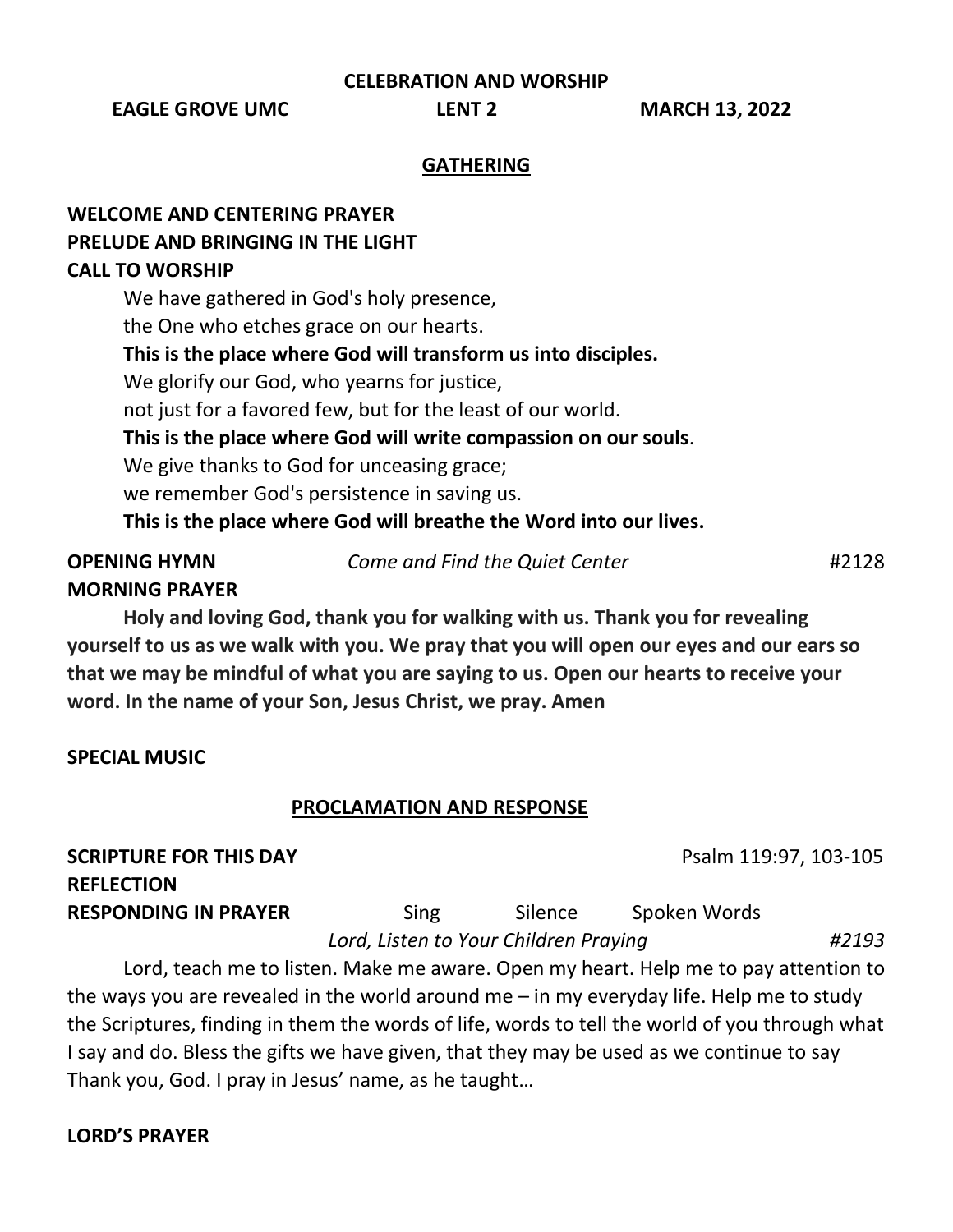**CELEBRATION AND WORSHIP**

**EAGLE GROVE UMC LENT 2 MARCH 13, 2022**

#### **GATHERING**

# **WELCOME AND CENTERING PRAYER PRELUDE AND BRINGING IN THE LIGHT CALL TO WORSHIP**

We have gathered in God's holy presence, the One who etches grace on our hearts. **This is the place where God will transform us into disciples.** We glorify our God, who yearns for justice, not just for a favored few, but for the least of our world. **This is the place where God will write compassion on our souls**. We give thanks to God for unceasing grace; we remember God's persistence in saving us. **This is the place where God will breathe the Word into our lives.** 

# **OPENING HYMN** *Come and Find the Quiet Center* #2128 **MORNING PRAYER**

**Holy and loving God, thank you for walking with us. Thank you for revealing yourself to us as we walk with you. We pray that you will open our eyes and our ears so** 

**that we may be mindful of what you are saying to us. Open our hearts to receive your word. In the name of your Son, Jesus Christ, we pray. Amen**

### **SPECIAL MUSIC**

### **PROCLAMATION AND RESPONSE**

**SCRIPTURE FOR THIS DAY PSALM 2018 PSALM 119:97, 103-105 REFLECTION RESPONDING IN PRAYER** Sing Silence Spoken Words

 *Lord, Listen to Your Children Praying #2193*

Lord, teach me to listen. Make me aware. Open my heart. Help me to pay attention to the ways you are revealed in the world around me – in my everyday life. Help me to study the Scriptures, finding in them the words of life, words to tell the world of you through what I say and do. Bless the gifts we have given, that they may be used as we continue to say Thank you, God. I pray in Jesus' name, as he taught…

# **LORD'S PRAYER**